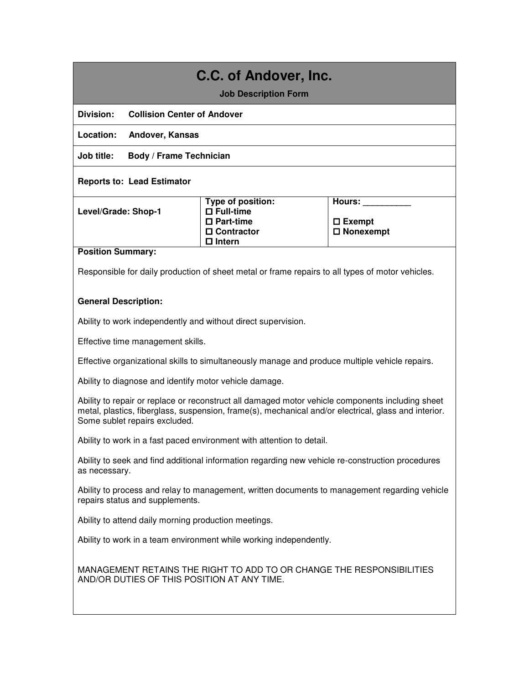# **C.C. of Andover, Inc.**

#### **Job Description Form**

**Division: Collision Center of Andover** 

**Location: Andover, Kansas** 

**Job title: Body / Frame Technician** 

#### **Reports to: Lead Estimator**

| Level/Grade: Shop-1 |  |
|---------------------|--|

**Type of position: Full-time Part-time Contractor Intern** 

**Hours: \_\_\_\_\_\_\_\_\_\_** 

 **Exempt Nonexempt**

#### **Position Summary:**

Responsible for daily production of sheet metal or frame repairs to all types of motor vehicles.

#### **General Description:**

Ability to work independently and without direct supervision.

Effective time management skills.

Effective organizational skills to simultaneously manage and produce multiple vehicle repairs.

Ability to diagnose and identify motor vehicle damage.

Ability to repair or replace or reconstruct all damaged motor vehicle components including sheet metal, plastics, fiberglass, suspension, frame(s), mechanical and/or electrical, glass and interior. Some sublet repairs excluded.

Ability to work in a fast paced environment with attention to detail.

Ability to seek and find additional information regarding new vehicle re-construction procedures as necessary.

Ability to process and relay to management, written documents to management regarding vehicle repairs status and supplements.

Ability to attend daily morning production meetings.

Ability to work in a team environment while working independently.

MANAGEMENT RETAINS THE RIGHT TO ADD TO OR CHANGE THE RESPONSIBILITIES AND/OR DUTIES OF THIS POSITION AT ANY TIME.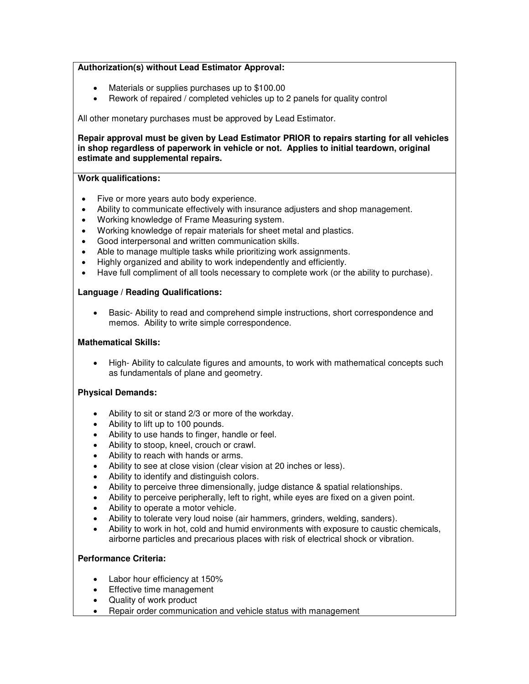# **Authorization(s) without Lead Estimator Approval:**

- Materials or supplies purchases up to \$100.00
- Rework of repaired / completed vehicles up to 2 panels for quality control

All other monetary purchases must be approved by Lead Estimator.

**Repair approval must be given by Lead Estimator PRIOR to repairs starting for all vehicles in shop regardless of paperwork in vehicle or not. Applies to initial teardown, original estimate and supplemental repairs.** 

# **Work qualifications:**

- Five or more years auto body experience.
- Ability to communicate effectively with insurance adjusters and shop management.
- Working knowledge of Frame Measuring system.
- Working knowledge of repair materials for sheet metal and plastics.
- Good interpersonal and written communication skills.
- Able to manage multiple tasks while prioritizing work assignments.
- Highly organized and ability to work independently and efficiently.
- Have full compliment of all tools necessary to complete work (or the ability to purchase).

# **Language / Reading Qualifications:**

 Basic- Ability to read and comprehend simple instructions, short correspondence and memos. Ability to write simple correspondence.

### **Mathematical Skills:**

 High- Ability to calculate figures and amounts, to work with mathematical concepts such as fundamentals of plane and geometry.

# **Physical Demands:**

- Ability to sit or stand 2/3 or more of the workday.
- Ability to lift up to 100 pounds.
- Ability to use hands to finger, handle or feel.
- Ability to stoop, kneel, crouch or crawl.
- Ability to reach with hands or arms.
- Ability to see at close vision (clear vision at 20 inches or less).
- Ability to identify and distinguish colors.
- Ability to perceive three dimensionally, judge distance & spatial relationships.
- Ability to perceive peripherally, left to right, while eyes are fixed on a given point.
- Ability to operate a motor vehicle.
- Ability to tolerate very loud noise (air hammers, grinders, welding, sanders).
- Ability to work in hot, cold and humid environments with exposure to caustic chemicals, airborne particles and precarious places with risk of electrical shock or vibration.

# **Performance Criteria:**

- Labor hour efficiency at 150%
- **Effective time management**
- Quality of work product
- Repair order communication and vehicle status with management